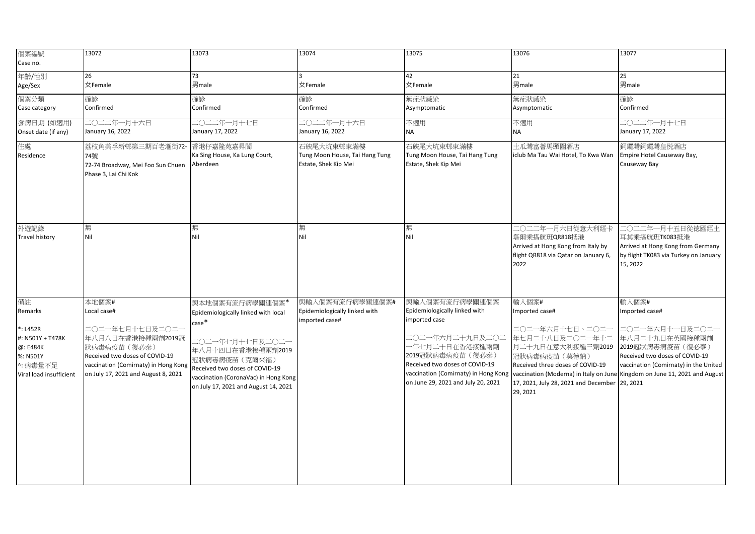| 個案編號<br>Case no.                                                                                                | 13072                                                                                                                                                                                         | 13073                                                                                                                                                                                                                                      | 13074                                                                | 13075                                                                                                                                                                                             | 13076                                                                                                                                                                                                                                                                                                                   | 13077                                                                                                                                                       |
|-----------------------------------------------------------------------------------------------------------------|-----------------------------------------------------------------------------------------------------------------------------------------------------------------------------------------------|--------------------------------------------------------------------------------------------------------------------------------------------------------------------------------------------------------------------------------------------|----------------------------------------------------------------------|---------------------------------------------------------------------------------------------------------------------------------------------------------------------------------------------------|-------------------------------------------------------------------------------------------------------------------------------------------------------------------------------------------------------------------------------------------------------------------------------------------------------------------------|-------------------------------------------------------------------------------------------------------------------------------------------------------------|
| 年齡/性別<br>Age/Sex                                                                                                | 26<br>女Female                                                                                                                                                                                 | 73<br>男male                                                                                                                                                                                                                                | 女Female                                                              | 42<br>女Female                                                                                                                                                                                     | 21<br>男male                                                                                                                                                                                                                                                                                                             | 25<br>男male                                                                                                                                                 |
| 個案分類<br>Case category                                                                                           | 確診<br>Confirmed                                                                                                                                                                               | 確診<br>Confirmed                                                                                                                                                                                                                            | 確診<br>Confirmed                                                      | 無症狀感染<br>Asymptomatic                                                                                                                                                                             | 無症狀感染<br>Asymptomatic                                                                                                                                                                                                                                                                                                   | 確診<br>Confirmed                                                                                                                                             |
| 發病日期 (如適用)<br>Onset date (if any)                                                                               | 二〇二二年一月十六日<br>January 16, 2022                                                                                                                                                                | 二〇二二年一月十七日<br>January 17, 2022                                                                                                                                                                                                             | 二〇二二年一月十六日<br>January 16, 2022                                       | 不適用<br><b>NA</b>                                                                                                                                                                                  | 不適用<br><b>NA</b>                                                                                                                                                                                                                                                                                                        | 二〇二二年一月十七日<br>January 17, 2022                                                                                                                              |
| 住處<br>Residence                                                                                                 | 荔枝角美孚新邨第三期百老滙街72-<br>74號<br>72-74 Broadway, Mei Foo Sun Chuen<br>Phase 3, Lai Chi Kok                                                                                                         | 香港仔嘉隆苑嘉昇閣<br>Ka Sing House, Ka Lung Court,<br>Aberdeen                                                                                                                                                                                     | 石硤尾大坑東邨東滿樓<br>Tung Moon House, Tai Hang Tung<br>Estate, Shek Kip Mei | 石硤尾大坑東邨東滿樓<br>Tung Moon House, Tai Hang Tung<br>Estate, Shek Kip Mei                                                                                                                              | 土瓜灣富薈馬頭圍酒店<br>iclub Ma Tau Wai Hotel, To Kwa Wan                                                                                                                                                                                                                                                                        | 銅鑼灣銅鑼灣皇悦酒店<br>Empire Hotel Causeway Bay,<br>Causeway Bay                                                                                                    |
| 外遊記錄<br><b>Travel history</b>                                                                                   | 無<br>Nil                                                                                                                                                                                      | 無<br>Nil                                                                                                                                                                                                                                   | 無<br>Nil                                                             | 無<br>Nil                                                                                                                                                                                          | 二〇二二年一月六日從意大利經卡<br>塔爾乘搭航班QR818抵港<br>Arrived at Hong Kong from Italy by<br>flight QR818 via Qatar on January 6,<br>2022                                                                                                                                                                                                  | 二〇二二年一月十五日從德國經土<br>耳其乘搭航班TK083抵港<br>Arrived at Hong Kong from Germany<br>by flight TK083 via Turkey on January<br>15, 2022                                  |
| 備註<br>Remarks<br>$*$ : L452R<br>#: N501Y + T478K<br>@: E484K<br>%: N501Y<br>^: 病毒量不足<br>Viral load insufficient | 本地個案#<br>Local case#<br>二〇二一年七月十七日及二〇二一<br>年八月八日在香港接種兩劑2019冠<br>狀病毒病疫苗 (復必泰)<br>Received two doses of COVID-19<br>vaccination (Comirnaty) in Hong Kong<br>on July 17, 2021 and August 8, 2021 | 與本地個案有流行病學關連個案*<br>Epidemiologically linked with local<br>case*<br>二〇二一年七月十七日及二〇二一<br>年八月十四日在香港接種兩劑2019<br>冠狀病毒病疫苗(克爾來福)<br>Received two doses of COVID-19<br>vaccination (CoronaVac) in Hong Kong<br>on July 17, 2021 and August 14, 2021 | 與輸入個案有流行病學關連個案#<br>Epidemiologically linked with<br>imported case#   | 與輸入個案有流行病學關連個案<br>Epidemiologically linked with<br>imported case<br>二〇二一年六月二十九日及二〇二<br>一年七月二十日在香港接種兩劑<br>2019冠狀病毒病疫苗(復必泰)<br>Received two doses of COVID-19<br>on June 29, 2021 and July 20, 2021 | 輸入個案#<br>Imported case#<br>二〇二一年六月十七日、二〇二一<br>年七月二十八日及二〇二一年十二<br>月二十九日在意大利接種三劑2019<br>冠狀病毒病疫苗 (莫德納)<br>Received three doses of COVID-19<br>vaccination (Comirnaty) in Hong Kong vaccination (Moderna) in Italy on June Kingdom on June 11, 2021 and August<br>17, 2021, July 28, 2021 and December 29, 2021<br>29, 2021 | 輸入個案#<br>Imported case#<br>二〇二一年六月十一日及二〇二一<br>年八月二十九日在英國接種兩劑<br>2019冠狀病毒病疫苗(復必泰)<br>Received two doses of COVID-19<br>vaccination (Comirnaty) in the United |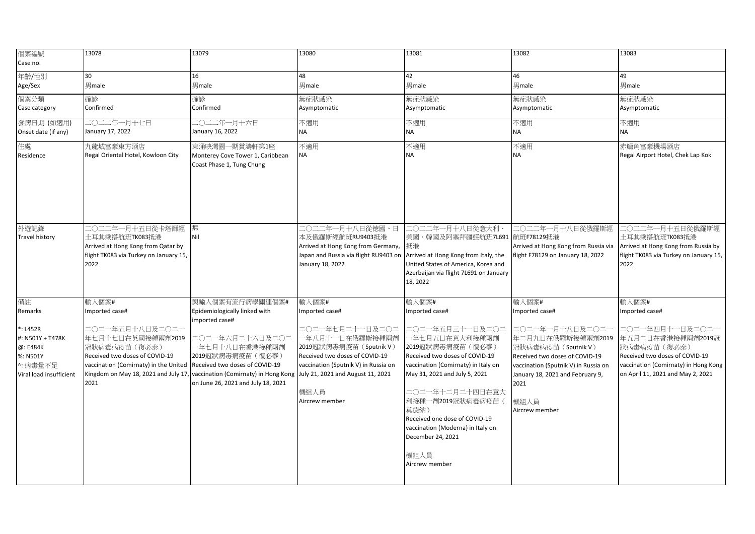| 個案編號<br>Case no.                                                                            | 13078                                                                                                                                                                           | 13079                                                                                                                                                                                                    | 13080                                                                                                                                                             | 13081                                                                                                                                                                                                                                                                                                                                  | 13082                                                                                                                                                                                                       | 13083                                                                                                                                                               |
|---------------------------------------------------------------------------------------------|---------------------------------------------------------------------------------------------------------------------------------------------------------------------------------|----------------------------------------------------------------------------------------------------------------------------------------------------------------------------------------------------------|-------------------------------------------------------------------------------------------------------------------------------------------------------------------|----------------------------------------------------------------------------------------------------------------------------------------------------------------------------------------------------------------------------------------------------------------------------------------------------------------------------------------|-------------------------------------------------------------------------------------------------------------------------------------------------------------------------------------------------------------|---------------------------------------------------------------------------------------------------------------------------------------------------------------------|
| 年齡/性別<br>Age/Sex                                                                            | 30<br>男male                                                                                                                                                                     | 16<br>男male                                                                                                                                                                                              | 48<br>男male                                                                                                                                                       | 42<br>男male                                                                                                                                                                                                                                                                                                                            | 46<br>男male                                                                                                                                                                                                 | 49<br>男male                                                                                                                                                         |
| 個案分類<br>Case category                                                                       | 確診<br>Confirmed                                                                                                                                                                 | 確診<br>Confirmed                                                                                                                                                                                          | 無症狀感染<br>Asymptomatic                                                                                                                                             | 無症狀感染<br>Asymptomatic                                                                                                                                                                                                                                                                                                                  | 無症狀感染<br>Asymptomatic                                                                                                                                                                                       | 無症狀感染<br>Asymptomatic                                                                                                                                               |
| 發病日期 (如適用)<br>Onset date (if any)                                                           | 二〇二二年一月十七日<br>January 17, 2022                                                                                                                                                  | 二〇二二年一月十六日<br>January 16, 2022                                                                                                                                                                           | 不適用<br>ΝA                                                                                                                                                         | 不適用<br><b>NA</b>                                                                                                                                                                                                                                                                                                                       | 不適用<br><b>NA</b>                                                                                                                                                                                            | 不適用<br><b>NA</b>                                                                                                                                                    |
| 住處<br>Residence                                                                             | 九龍城富豪東方酒店<br>Regal Oriental Hotel, Kowloon City                                                                                                                                 | 東涌映灣園一期賞濤軒第1座<br>Monterey Cove Tower 1, Caribbean<br>Coast Phase 1, Tung Chung                                                                                                                           | 不適用<br><b>NA</b>                                                                                                                                                  | 不適用<br><b>NA</b>                                                                                                                                                                                                                                                                                                                       | 不適用<br><b>NA</b>                                                                                                                                                                                            | 赤鱲角富豪機場酒店<br>Regal Airport Hotel, Chek Lap Kok                                                                                                                      |
| 外遊記錄<br><b>Travel history</b>                                                               | ニ○二二年一月十五日從卡塔爾經<br>土耳其乘搭航班TK083抵港<br>Arrived at Hong Kong from Qatar by<br>flight TK083 via Turkey on January 15,<br>2022                                                       | 無<br>Nil                                                                                                                                                                                                 | 二〇二二年一月十八日從德國、日<br>本及俄羅斯經航班RU9403抵港<br>Arrived at Hong Kong from Germany, 抵港<br>Japan and Russia via flight RU9403 on<br>January 18, 2022                         | 二○二二年一月十八日從意大利、<br>美國、韓國及阿塞拜疆經航班7L691 航班F78129抵港<br>Arrived at Hong Kong from Italy, the<br>United States of America, Korea and<br>Azerbaijan via flight 7L691 on January<br>18, 2022                                                                                                                                                  | 二〇二二年一月十八日從俄羅斯經<br>Arrived at Hong Kong from Russia via<br>flight F78129 on January 18, 2022                                                                                                                | 二〇二二年一月十五日從俄羅斯經<br>十耳其乘搭航班TK083抵港<br>Arrived at Hong Kong from Russia by<br>flight TK083 via Turkey on January 15,<br>2022                                          |
| 備註                                                                                          | 輸入個案#                                                                                                                                                                           | 與輸入個案有流行病學關連個案#                                                                                                                                                                                          | 輸入個案#                                                                                                                                                             | 輸入個案#                                                                                                                                                                                                                                                                                                                                  | 輸入個案#                                                                                                                                                                                                       | 輸入個案#                                                                                                                                                               |
| Remarks                                                                                     | Imported case#                                                                                                                                                                  | Epidemiologically linked with<br>imported case#                                                                                                                                                          | Imported case#                                                                                                                                                    | Imported case#                                                                                                                                                                                                                                                                                                                         | Imported case#                                                                                                                                                                                              | Imported case#                                                                                                                                                      |
| *: L452R<br>#: N501Y + T478K<br>@: E484K<br>%: N501Y<br>^: 病毒量不足<br>Viral load insufficient | 二○二一年五月十八日及二○二一<br>年七月十七日在英國接種兩劑2019<br>冠狀病毒病疫苗 (復必泰)<br>Received two doses of COVID-19<br>vaccination (Comirnaty) in the United<br>Kingdom on May 18, 2021 and July 17<br>2021 | 二〇二一年六月二十六日及二〇二<br>一年七月十八日在香港接種兩劑<br>2019冠狀病毒病疫苗 (復必泰)<br>Received two doses of COVID-19<br>vaccination (Comirnaty) in Hong Kong July 21, 2021 and August 11, 2021<br>on June 26, 2021 and July 18, 2021 | 二〇二一年七月二十一日及二〇二<br>−年八月十一日在俄羅斯接種兩劑<br>2019冠狀病毒病疫苗 (Sputnik V)<br>Received two doses of COVID-19<br>vaccination (Sputnik V) in Russia on<br>機組人員<br>Aircrew member | 二〇二一年五月三十一日及二〇二<br>-年七月五日在意大利接種兩劑<br>2019冠狀病毒病疫苗 ( 復必泰)<br>Received two doses of COVID-19<br>vaccination (Comirnaty) in Italy on<br>May 31, 2021 and July 5, 2021<br>二〇二一年十二月二十四日在意大<br>利接種一劑2019冠狀病毒病疫苗(<br>莫德納)<br>Received one dose of COVID-19<br>vaccination (Moderna) in Italy on<br>December 24, 2021<br>機組人員<br>Aircrew member | 二〇二一年一月十八日及二〇二一<br>年二月九日在俄羅斯接種兩劑2019<br>冠狀病毒病疫苗 (Sputnik V)<br>Received two doses of COVID-19<br>vaccination (Sputnik V) in Russia on<br>January 18, 2021 and February 9,<br>2021<br>機組人員<br>Aircrew member | 二〇二一年四月十一日及二〇二一<br>年五月二日在香港接種兩劑2019冠<br>狀病毒病疫苗 (復必泰)<br>Received two doses of COVID-19<br>vaccination (Comirnaty) in Hong Kong<br>on April 11, 2021 and May 2, 2021 |